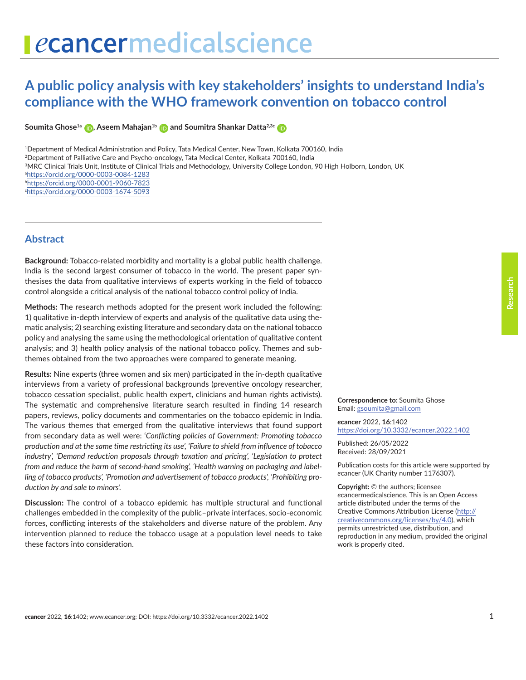# **A public policy analysis with key stakeholders' insights to understand India's compliance with the WHO framework convention on tobacco control**

**SoumitaGhose<sup>1a</sup> <b>(b)**[,](https://orcid.org/0000-0002-9381-4913) Aseem Mahajan<sup>1b</sup> **(b)** and Soumitra Shankar Datta<sup>2,3c</sup> (b)

1Department of Medical Administration and Policy, Tata Medical Center, New Town, Kolkata 700160, India

2Department of Palliative Care and Psycho-oncology, Tata Medical Center, Kolkata 700160, India

3MRC Clinical Trials Unit, Institute of Clinical Trials and Methodology, University College London, 90 High Holborn, London, UK

a <https://orcid.org/0000-0003-0084-1283>

b <https://orcid.org/0000-0001-9060-7823>

c <https://orcid.org/0000-0003-1674-5093>

### **Abstract**

**Background:** Tobacco-related morbidity and mortality is a global public health challenge. India is the second largest consumer of tobacco in the world. The present paper synthesises the data from qualitative interviews of experts working in the field of tobacco control alongside a critical analysis of the national tobacco control policy of India.

**Methods:** The research methods adopted for the present work included the following: 1) qualitative in-depth interview of experts and analysis of the qualitative data using thematic analysis; 2) searching existing literature and secondary data on the national tobacco policy and analysing the same using the methodological orientation of qualitative content analysis; and 3) health policy analysis of the national tobacco policy. Themes and subthemes obtained from the two approaches were compared to generate meaning.

**Results:** Nine experts (three women and six men) participated in the in-depth qualitative interviews from a variety of professional backgrounds (preventive oncology researcher, tobacco cessation specialist, public health expert, clinicians and human rights activists). The systematic and comprehensive literature search resulted in finding 14 research papers, reviews, policy documents and commentaries on the tobacco epidemic in India. The various themes that emerged from the qualitative interviews that found support from secondary data as well were: '*Conflicting policies of Government: Promoting tobacco production and at the same time restricting its use', 'Failure to shield from influence of tobacco industry', 'Demand reduction proposals through taxation and pricing', 'Legislation to protect from and reduce the harm of second-hand smoking', 'Health warning on packaging and labelling of tobacco products', 'Promotion and advertisement of tobacco products', 'Prohibiting production by and sale to minors'.*

**Discussion:** The control of a tobacco epidemic has multiple structural and functional challenges embedded in the complexity of the public–private interfaces, socio-economic forces, conflicting interests of the stakeholders and diverse nature of the problem. Any intervention planned to reduce the tobacco usage at a population level needs to take these factors into consideration.

**Correspondence to:** Soumita Ghose Email: gsoumita@gmail.com

*e***cancer** 2022, **16**:1402 [https://doi.org/10.3332/ecancer.2022.](https://doi.org/10.3332/ecancer.2022.1402)1402

Published: 26/05/2022 Received: 28/09/2021

Publication costs for this article were supported by *e*cancer (UK Charity number 1176307).

**Copyright:** © the authors; licensee *e*cancermedicalscience. This is an Open Access article distributed under the terms of the Creative Commons Attribution License (http:// creativecommons.org/licenses/by/4.0), which permits unrestricted use, distribution, and reproduction in any medium, provided the original work is properly cited.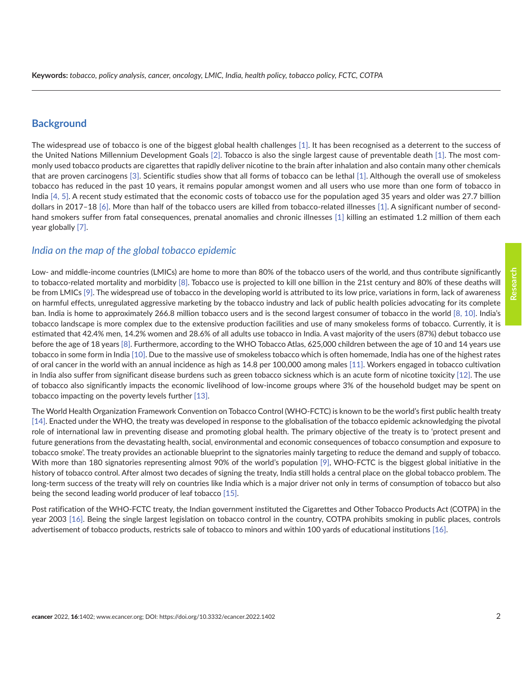### **Background**

The widespread use of tobacco is one of the biggest global health challenges [\[1\].](#page-16-0) It has been recognised as a deterrent to the success of the United Nations Millennium Development Goals [\[2\].](#page-16-0) Tobacco is also the single largest cause of preventable death [\[1\].](#page-16-0) The most commonly used tobacco products are cigarettes that rapidly deliver nicotine to the brain after inhalation and also contain many other chemicals that are proven carcinogens [\[3\]](#page-16-0). Scientific studies show that all forms of tobacco can be lethal [\[1\]](#page-16-0). Although the overall use of smokeless tobacco has reduced in the past 10 years, it remains popular amongst women and all users who use more than one form of tobacco in India [\[4,](#page-16-0) [5\].](#page-16-0) A recent study estimated that the economic costs of tobacco use for the population aged 35 years and older was 27.7 billion dollars in 2017–18 [\[6\]](#page-16-0). More than half of the tobacco users are killed from tobacco-related illnesses [\[1\].](#page-16-0) A significant number of secondhand smokers suffer from fatal consequences, prenatal anomalies and chronic illnesses [\[1\]](#page-16-0) killing an estimated 1.2 million of them each year globally [\[7\]](#page-16-0).

### *India on the map of the global tobacco epidemic*

Low- and middle-income countries (LMICs) are home to more than 80% of the tobacco users of the world, and thus contribute significantly to tobacco-related mortality and morbidity [\[8\].](#page-16-0) Tobacco use is projected to kill one billion in the 21st century and 80% of these deaths will be from LMICs [\[9\]](#page-16-0). The widespread use of tobacco in the developing world is attributed to its low price, variations in form, lack of awareness on harmful effects, unregulated aggressive marketing by the tobacco industry and lack of public health policies advocating for its complete ban. India is home to approximately 266.8 million tobacco users and is the second largest consumer of tobacco in the world [\[8, 10\].](#page-16-0) India's tobacco landscape is more complex due to the extensive production facilities and use of many smokeless forms of tobacco. Currently, it is estimated that 42.4% men, 14.2% women and 28.6% of all adults use tobacco in India. A vast majority of the users (87%) debut tobacco use before the age of 18 years [\[8\].](#page-16-0) Furthermore, according to the WHO Tobacco Atlas, 625,000 children between the age of 10 and 14 years use tobacco in some form in India [\[10\]](#page-16-0). Due to the massive use of smokeless tobacco which is often homemade, India has one of the highest rates of oral cancer in the world with an annual incidence as high as 14.8 per 100,000 among males [\[11\].](#page-16-0) Workers engaged in tobacco cultivation in India also suffer from significant disease burdens such as green tobacco sickness which is an acute form of nicotine toxicity [\[12\].](#page-17-0) The use of tobacco also significantly impacts the economic livelihood of low-income groups where 3% of the household budget may be spent on tobacco impacting on the poverty levels further [\[13\].](#page-17-0)

The World Health Organization Framework Convention on Tobacco Control (WHO-FCTC) is known to be the world's first public health treaty [\[14\].](#page-17-0) Enacted under the WHO, the treaty was developed in response to the globalisation of the tobacco epidemic acknowledging the pivotal role of international law in preventing disease and promoting global health. The primary objective of the treaty is to 'protect present and future generations from the devastating health, social, environmental and economic consequences of tobacco consumption and exposure to tobacco smoke'. The treaty provides an actionable blueprint to the signatories mainly targeting to reduce the demand and supply of tobacco. With more than 180 signatories representing almost 90% of the world's population [\[9\],](#page-16-0) WHO-FCTC is the biggest global initiative in the history of tobacco control. After almost two decades of signing the treaty, India still holds a central place on the global tobacco problem. The long-term success of the treaty will rely on countries like India which is a major driver not only in terms of consumption of tobacco but also being the second leading world producer of leaf tobacco [\[15\].](#page-17-0)

Post ratification of the WHO-FCTC treaty, the Indian government instituted the Cigarettes and Other Tobacco Products Act (COTPA) in the year 2003 [\[16\].](#page-17-0) Being the single largest legislation on tobacco control in the country, COTPA prohibits smoking in public places, controls advertisement of tobacco products, restricts sale of tobacco to minors and within 100 yards of educational institutions [\[16\]](#page-17-0).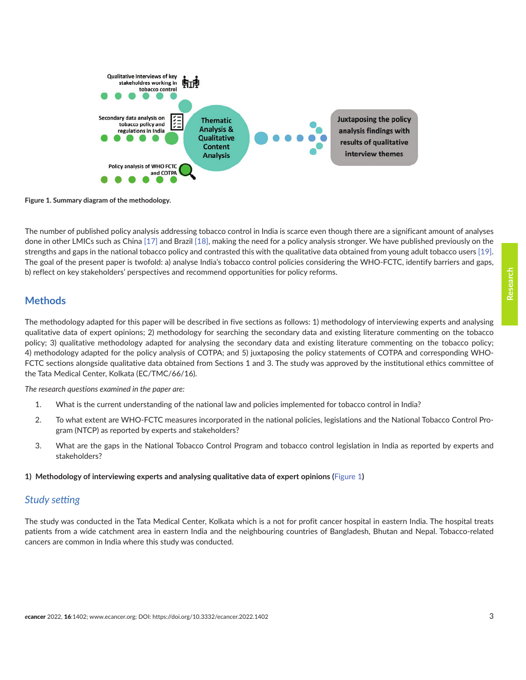

**Figure 1. Summary diagram of the methodology.**

The number of published policy analysis addressing tobacco control in India is scarce even though there are a significant amount of analyses done in other LMICs such as China [\[17\]](#page-17-0) and Brazil [\[18\],](#page-17-0) making the need for a policy analysis stronger. We have published previously on the strengths and gaps in the national tobacco policy and contrasted this with the qualitative data obtained from young adult tobacco users [\[19\].](#page-17-0) The goal of the present paper is twofold: a) analyse India's tobacco control policies considering the WHO-FCTC, identify barriers and gaps, b) reflect on key stakeholders' perspectives and recommend opportunities for policy reforms.

## **Methods**

The methodology adapted for this paper will be described in five sections as follows: 1) methodology of interviewing experts and analysing qualitative data of expert opinions; 2) methodology for searching the secondary data and existing literature commenting on the tobacco policy; 3) qualitative methodology adapted for analysing the secondary data and existing literature commenting on the tobacco policy; 4) methodology adapted for the policy analysis of COTPA; and 5) juxtaposing the policy statements of COTPA and corresponding WHO-FCTC sections alongside qualitative data obtained from Sections 1 and 3. The study was approved by the institutional ethics committee of the Tata Medical Center, Kolkata (EC/TMC/66/16).

*The research questions examined in the paper are:* 

- 1. What is the current understanding of the national law and policies implemented for tobacco control in India?
- 2. To what extent are WHO-FCTC measures incorporated in the national policies, legislations and the National Tobacco Control Program (NTCP) as reported by experts and stakeholders?
- 3. What are the gaps in the National Tobacco Control Program and tobacco control legislation in India as reported by experts and stakeholders?

### **1) Methodology of interviewing experts and analysing qualitative data of expert opinions (**Figure 1**)**

### *Study setting*

The study was conducted in the Tata Medical Center, Kolkata which is a not for profit cancer hospital in eastern India. The hospital treats patients from a wide catchment area in eastern India and the neighbouring countries of Bangladesh, Bhutan and Nepal. Tobacco-related cancers are common in India where this study was conducted.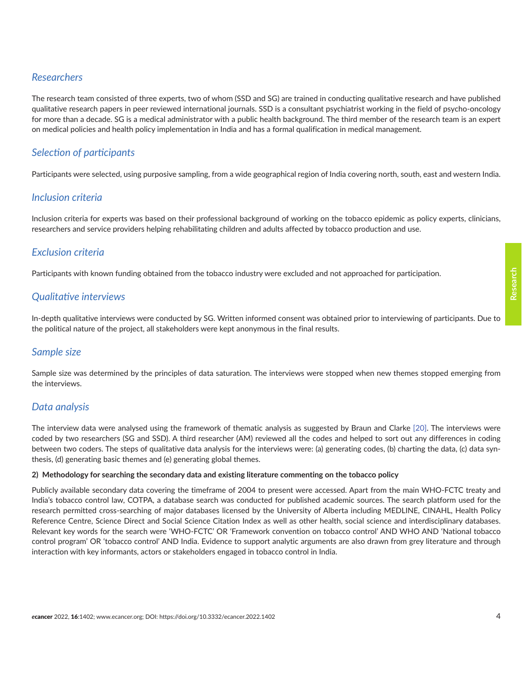## *Researchers*

The research team consisted of three experts, two of whom (SSD and SG) are trained in conducting qualitative research and have published qualitative research papers in peer reviewed international journals. SSD is a consultant psychiatrist working in the field of psycho-oncology for more than a decade. SG is a medical administrator with a public health background. The third member of the research team is an expert on medical policies and health policy implementation in India and has a formal qualification in medical management.

## *Selection of participants*

Participants were selected, using purposive sampling, from a wide geographical region of India covering north, south, east and western India.

## *Inclusion criteria*

Inclusion criteria for experts was based on their professional background of working on the tobacco epidemic as policy experts, clinicians, researchers and service providers helping rehabilitating children and adults affected by tobacco production and use.

## *Exclusion criteria*

Participants with known funding obtained from the tobacco industry were excluded and not approached for participation.

## *Qualitative interviews*

In-depth qualitative interviews were conducted by SG. Written informed consent was obtained prior to interviewing of participants. Due to the political nature of the project, all stakeholders were kept anonymous in the final results.

## *Sample size*

Sample size was determined by the principles of data saturation. The interviews were stopped when new themes stopped emerging from the interviews.

## *Data analysis*

The interview data were analysed using the framework of thematic analysis as suggested by Braun and Clarke [\[20\].](#page-17-0) The interviews were coded by two researchers (SG and SSD). A third researcher (AM) reviewed all the codes and helped to sort out any differences in coding between two coders. The steps of qualitative data analysis for the interviews were: (a) generating codes, (b) charting the data, (c) data synthesis, (d) generating basic themes and (e) generating global themes.

### **2) Methodology for searching the secondary data and existing literature commenting on the tobacco policy**

Publicly available secondary data covering the timeframe of 2004 to present were accessed. Apart from the main WHO-FCTC treaty and India's tobacco control law, COTPA, a database search was conducted for published academic sources. The search platform used for the research permitted cross-searching of major databases licensed by the University of Alberta including MEDLINE, CINAHL, Health Policy Reference Centre, Science Direct and Social Science Citation Index as well as other health, social science and interdisciplinary databases. Relevant key words for the search were 'WHO-FCTC' OR 'Framework convention on tobacco control' AND WHO AND 'National tobacco control program' OR 'tobacco control' AND India. Evidence to support analytic arguments are also drawn from grey literature and through interaction with key informants, actors or stakeholders engaged in tobacco control in India.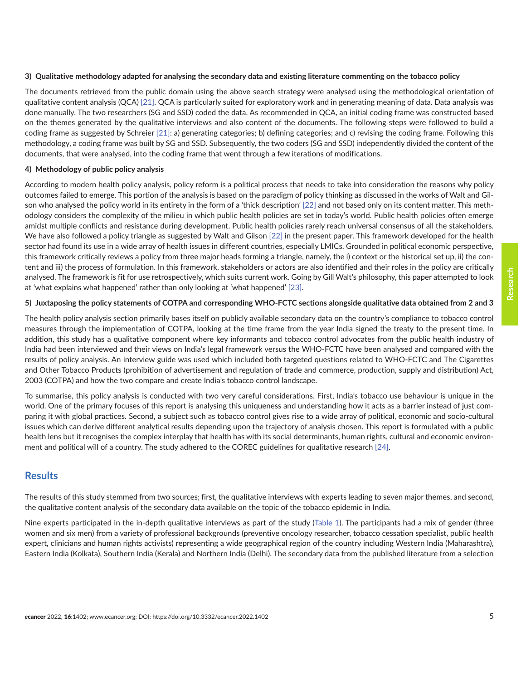#### **3) Qualitative methodology adapted for analysing the secondary data and existing literature commenting on the tobacco policy**

The documents retrieved from the public domain using the above search strategy were analysed using the methodological orientation of qualitative content analysis (QCA) [\[21\].](#page-17-0) QCA is particularly suited for exploratory work and in generating meaning of data. Data analysis was done manually. The two researchers (SG and SSD) coded the data. As recommended in QCA, an initial coding frame was constructed based on the themes generated by the qualitative interviews and also content of the documents. The following steps were followed to build a coding frame as suggested by Schreier [\[21\]:](#page-17-0) a) generating categories; b) defining categories; and c) revising the coding frame. Following this methodology, a coding frame was built by SG and SSD. Subsequently, the two coders (SG and SSD) independently divided the content of the documents, that were analysed, into the coding frame that went through a few iterations of modifications.

### **4) Methodology of public policy analysis**

According to modern health policy analysis, policy reform is a political process that needs to take into consideration the reasons why policy outcomes failed to emerge. This portion of the analysis is based on the paradigm of policy thinking as discussed in the works of Walt and Gilson who analysed the policy world in its entirety in the form of a 'thick description' [\[22\]](#page-17-0) and not based only on its content matter. This methodology considers the complexity of the milieu in which public health policies are set in today's world. Public health policies often emerge amidst multiple conflicts and resistance during development. Public health policies rarely reach universal consensus of all the stakeholders. We have also followed a policy triangle as suggested by Walt and Gilson [\[22\]](#page-17-0) in the present paper. This framework developed for the health sector had found its use in a wide array of health issues in different countries, especially LMICs. Grounded in political economic perspective, this framework critically reviews a policy from three major heads forming a triangle, namely, the i) context or the historical set up, ii) the content and iii) the process of formulation. In this framework, stakeholders or actors are also identified and their roles in the policy are critically analysed. The framework is fit for use retrospectively, which suits current work. Going by Gill Walt's philosophy, this paper attempted to look at 'what explains what happened' rather than only looking at 'what happened' [\[23\]](#page-17-0).

### **5) Juxtaposing the policy statements of COTPA and corresponding WHO-FCTC sections alongside qualitative data obtained from 2 and 3**

The health policy analysis section primarily bases itself on publicly available secondary data on the country's compliance to tobacco control measures through the implementation of COTPA, looking at the time frame from the year India signed the treaty to the present time. In addition, this study has a qualitative component where key informants and tobacco control advocates from the public health industry of India had been interviewed and their views on India's legal framework versus the WHO-FCTC have been analysed and compared with the results of policy analysis. An interview guide was used which included both targeted questions related to WHO-FCTC and The Cigarettes and Other Tobacco Products (prohibition of advertisement and regulation of trade and commerce, production, supply and distribution) Act, 2003 (COTPA) and how the two compare and create India's tobacco control landscape.

To summarise, this policy analysis is conducted with two very careful considerations. First, India's tobacco use behaviour is unique in the world. One of the primary focuses of this report is analysing this uniqueness and understanding how it acts as a barrier instead of just comparing it with global practices. Second, a subject such as tobacco control gives rise to a wide array of political, economic and socio-cultural issues which can derive different analytical results depending upon the trajectory of analysis chosen. This report is formulated with a public health lens but it recognises the complex interplay that health has with its social determinants, human rights, cultural and economic environment and political will of a country. The study adhered to the COREC guidelines for qualitative research [\[24\].](#page-17-0)

## **Results**

The results of this study stemmed from two sources; first, the qualitative interviews with experts leading to seven major themes, and second, the qualitative content analysis of the secondary data available on the topic of the tobacco epidemic in India.

Nine experts participated in the in-depth qualitative interviews as part of the study [\(Table 1](#page-5-0)). The participants had a mix of gender (three women and six men) from a variety of professional backgrounds (preventive oncology researcher, tobacco cessation specialist, public health expert, clinicians and human rights activists) representing a wide geographical region of the country including Western India (Maharashtra), Eastern India (Kolkata), Southern India (Kerala) and Northern India (Delhi). The secondary data from the published literature from a selection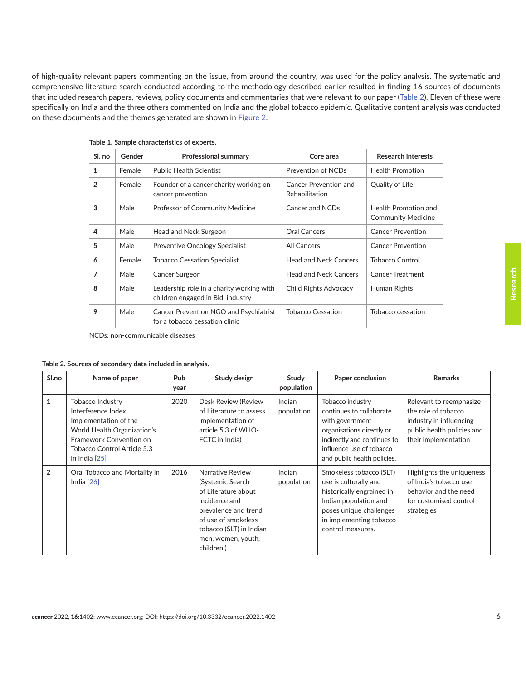<span id="page-5-0"></span>of high-quality relevant papers commenting on the issue, from around the country, was used for the policy analysis. The systematic and comprehensive literature search conducted according to the methodology described earlier resulted in finding 16 sources of documents that included research papers, reviews, policy documents and commentaries that were relevant to our paper (Table 2). Eleven of these were specifically on India and the three others commented on India and the global tobacco epidemic. Qualitative content analysis was conducted on these documents and the themes generated are shown in [Figure 2.](#page-8-0)

| Sl. no         | Gender | <b>Professional summary</b>                                                     | Core area                               | <b>Research interests</b>                         |
|----------------|--------|---------------------------------------------------------------------------------|-----------------------------------------|---------------------------------------------------|
| 1              | Female | <b>Public Health Scientist</b>                                                  | Prevention of NCDs                      | <b>Health Promotion</b>                           |
| $\overline{2}$ | Female | Founder of a cancer charity working on<br>cancer prevention                     | Cancer Prevention and<br>Rehabilitation | Quality of Life                                   |
| 3              | Male   | <b>Professor of Community Medicine</b>                                          | Cancer and NCDs                         | Health Promotion and<br><b>Community Medicine</b> |
| 4              | Male   | Head and Neck Surgeon                                                           | <b>Oral Cancers</b>                     | <b>Cancer Prevention</b>                          |
| 5              | Male   | Preventive Oncology Specialist                                                  | <b>All Cancers</b>                      | <b>Cancer Prevention</b>                          |
| 6              | Female | <b>Tobacco Cessation Specialist</b>                                             | <b>Head and Neck Cancers</b>            | Tobacco Control                                   |
| 7              | Male   | Cancer Surgeon                                                                  | <b>Head and Neck Cancers</b>            | <b>Cancer Treatment</b>                           |
| 8              | Male   | Leadership role in a charity working with<br>children engaged in Bidi industry  | Child Rights Advocacy                   | Human Rights                                      |
| 9              | Male   | <b>Cancer Prevention NGO and Psychiatrist</b><br>for a tobacco cessation clinic | <b>Tobacco Cessation</b>                | Tobacco cessation                                 |

**Table 1. Sample characteristics of experts.**

NCDs: non-communicable diseases

**Table 2. Sources of secondary data included in analysis.**

| Sl.no          | Name of paper                                                                                                                                                                | <b>Pub</b><br>year | Study design                                                                                                                                                                                | Study<br>population  | Paper conclusion                                                                                                                                                                       | <b>Remarks</b>                                                                                                                  |
|----------------|------------------------------------------------------------------------------------------------------------------------------------------------------------------------------|--------------------|---------------------------------------------------------------------------------------------------------------------------------------------------------------------------------------------|----------------------|----------------------------------------------------------------------------------------------------------------------------------------------------------------------------------------|---------------------------------------------------------------------------------------------------------------------------------|
| $\mathbf{1}$   | Tobacco Industry<br>Interference Index:<br>Implementation of the<br>World Health Organization's<br>Framework Convention on<br>Tobacco Control Article 5.3<br>in India $[25]$ | 2020               | Desk Review (Review<br>of Literature to assess<br>implementation of<br>article 5.3 of WHO-<br>FCTC in India)                                                                                | Indian<br>population | Tobacco industry<br>continues to collaborate<br>with government<br>organisations directly or<br>indirectly and continues to<br>influence use of tobacco<br>and public health policies. | Relevant to reemphasize<br>the role of tobacco<br>industry in influencing<br>public health policies and<br>their implementation |
| $\overline{2}$ | Oral Tobacco and Mortality in<br>India $[26]$                                                                                                                                | 2016               | Narrative Review<br>(Systemic Search)<br>of Literature about<br>incidence and<br>prevalence and trend<br>of use of smokeless<br>tobacco (SLT) in Indian<br>men, women, youth,<br>children.) | Indian<br>population | Smokeless tobacco (SLT)<br>use is culturally and<br>historically engrained in<br>Indian population and<br>poses unique challenges<br>in implementing tobacco<br>control measures.      | Highlights the uniqueness<br>of India's tobacco use<br>behavior and the need<br>for customised control<br>strategies            |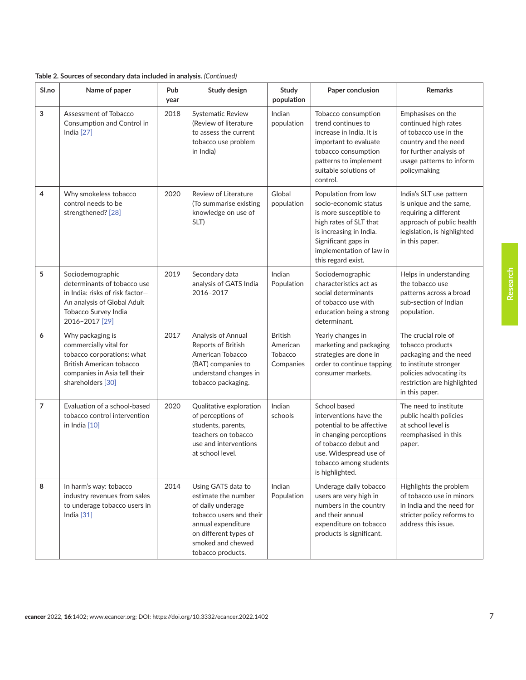|  | Table 2. Sources of secondary data included in analysis. (Continued) |  |  |  |
|--|----------------------------------------------------------------------|--|--|--|
|--|----------------------------------------------------------------------|--|--|--|

| Sl.no          | Name of paper                                                                                                                                                    | Pub<br>year | Study design                                                                                                                                                                       | Study<br>population                                | Paper conclusion                                                                                                                                                                                     | <b>Remarks</b>                                                                                                                                                         |
|----------------|------------------------------------------------------------------------------------------------------------------------------------------------------------------|-------------|------------------------------------------------------------------------------------------------------------------------------------------------------------------------------------|----------------------------------------------------|------------------------------------------------------------------------------------------------------------------------------------------------------------------------------------------------------|------------------------------------------------------------------------------------------------------------------------------------------------------------------------|
| $\mathbf 3$    | Assessment of Tobacco<br>Consumption and Control in<br>India $[27]$                                                                                              | 2018        | Systematic Review<br>(Review of literature<br>to assess the current<br>tobacco use problem<br>in India)                                                                            | Indian<br>population                               | Tobacco consumption<br>trend continues to<br>increase in India. It is<br>important to evaluate<br>tobacco consumption<br>patterns to implement<br>suitable solutions of<br>control.                  | Emphasises on the<br>continued high rates<br>of tobacco use in the<br>country and the need<br>for further analysis of<br>usage patterns to inform<br>policymaking      |
| 4              | Why smokeless tobacco<br>control needs to be<br>strengthened? [28]                                                                                               | 2020        | <b>Review of Literature</b><br>(To summarise existing<br>knowledge on use of<br>SLT)                                                                                               | Global<br>population                               | Population from low<br>socio-economic status<br>is more susceptible to<br>high rates of SLT that<br>is increasing in India.<br>Significant gaps in<br>implementation of law in<br>this regard exist. | India's SLT use pattern<br>is unique and the same,<br>requiring a different<br>approach of public health<br>legislation, is highlighted<br>in this paper.              |
| 5              | Sociodemographic<br>determinants of tobacco use<br>in India: risks of risk factor-<br>An analysis of Global Adult<br>Tobacco Survey India<br>2016-2017 [29]      | 2019        | Secondary data<br>analysis of GATS India<br>2016-2017                                                                                                                              | Indian<br>Population                               | Sociodemographic<br>characteristics act as<br>social determinants<br>of tobacco use with<br>education being a strong<br>determinant.                                                                 | Helps in understanding<br>the tobacco use<br>patterns across a broad<br>sub-section of Indian<br>population.                                                           |
| 6              | Why packaging is<br>commercially vital for<br>tobacco corporations: what<br><b>British American tobacco</b><br>companies in Asia tell their<br>shareholders [30] | 2017        | Analysis of Annual<br>Reports of British<br>American Tobacco<br>(BAT) companies to<br>understand changes in<br>tobacco packaging.                                                  | <b>British</b><br>American<br>Tobacco<br>Companies | Yearly changes in<br>marketing and packaging<br>strategies are done in<br>order to continue tapping<br>consumer markets.                                                                             | The crucial role of<br>tobacco products<br>packaging and the need<br>to institute stronger<br>policies advocating its<br>restriction are highlighted<br>in this paper. |
| $\overline{7}$ | Evaluation of a school-based<br>tobacco control intervention<br>in India [10]                                                                                    | 2020        | Qualitative exploration<br>of perceptions of<br>students, parents,<br>teachers on tobacco<br>use and interventions<br>at school level.                                             | Indian<br>schools                                  | School based<br>interventions have the<br>potential to be affective<br>in changing perceptions<br>of tobacco debut and<br>use. Widespread use of<br>tobacco among students<br>is highlighted.        | The need to institute<br>public health policies<br>at school level is<br>reemphasised in this<br>paper.                                                                |
| 8              | In harm's way: tobacco<br>industry revenues from sales<br>to underage tobacco users in<br>India $[31]$                                                           | 2014        | Using GATS data to<br>estimate the number<br>of daily underage<br>tobacco users and their<br>annual expenditure<br>on different types of<br>smoked and chewed<br>tobacco products. | Indian<br>Population                               | Underage daily tobacco<br>users are very high in<br>numbers in the country<br>and their annual<br>expenditure on tobacco<br>products is significant.                                                 | Highlights the problem<br>of tobacco use in minors<br>in India and the need for<br>stricter policy reforms to<br>address this issue.                                   |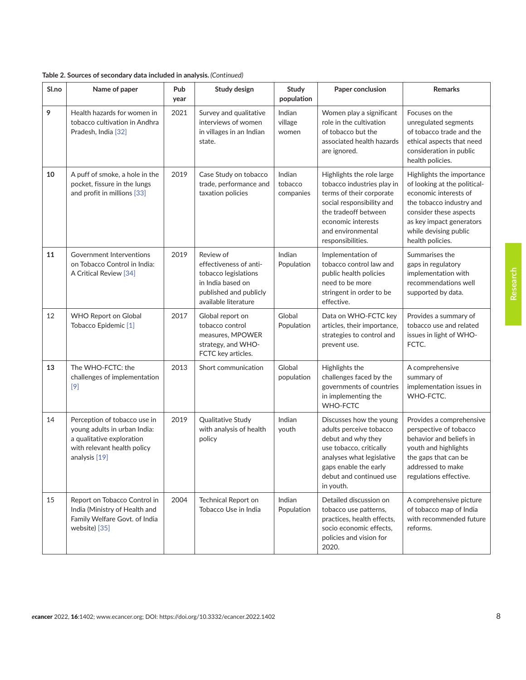| Sl.no | Name of paper                                                                                                                             | Pub<br>year | Study design                                                                                                                       | Study<br>population            | Paper conclusion                                                                                                                                                                                         | <b>Remarks</b>                                                                                                                                                                                                    |
|-------|-------------------------------------------------------------------------------------------------------------------------------------------|-------------|------------------------------------------------------------------------------------------------------------------------------------|--------------------------------|----------------------------------------------------------------------------------------------------------------------------------------------------------------------------------------------------------|-------------------------------------------------------------------------------------------------------------------------------------------------------------------------------------------------------------------|
| 9     | Health hazards for women in<br>tobacco cultivation in Andhra<br>Pradesh, India [32]                                                       | 2021        | Survey and qualitative<br>interviews of women<br>in villages in an Indian<br>state.                                                | Indian<br>village<br>women     | Women play a significant<br>role in the cultivation<br>of tobacco but the<br>associated health hazards<br>are ignored.                                                                                   | Focuses on the<br>unregulated segments<br>of tobacco trade and the<br>ethical aspects that need<br>consideration in public<br>health policies.                                                                    |
| 10    | A puff of smoke, a hole in the<br>pocket, fissure in the lungs<br>and profit in millions [33]                                             | 2019        | Case Study on tobacco<br>trade, performance and<br>taxation policies                                                               | Indian<br>tobacco<br>companies | Highlights the role large<br>tobacco industries play in<br>terms of their corporate<br>social responsibility and<br>the tradeoff between<br>economic interests<br>and environmental<br>responsibilities. | Highlights the importance<br>of looking at the political-<br>economic interests of<br>the tobacco industry and<br>consider these aspects<br>as key impact generators<br>while devising public<br>health policies. |
| 11    | Government Interventions<br>on Tobacco Control in India:<br>A Critical Review [34]                                                        | 2019        | Review of<br>effectiveness of anti-<br>tobacco legislations<br>in India based on<br>published and publicly<br>available literature | Indian<br>Population           | Implementation of<br>tobacco control law and<br>public health policies<br>need to be more<br>stringent in order to be<br>effective.                                                                      | Summarises the<br>gaps in regulatory<br>implementation with<br>recommendations well<br>supported by data.                                                                                                         |
| 12    | <b>WHO Report on Global</b><br>Tobacco Epidemic [1]                                                                                       | 2017        | Global report on<br>tobacco control<br>measures, MPOWER<br>strategy, and WHO-<br>FCTC key articles.                                | Global<br>Population           | Data on WHO-FCTC key<br>articles, their importance,<br>strategies to control and<br>prevent use.                                                                                                         | Provides a summary of<br>tobacco use and related<br>issues in light of WHO-<br>FCTC.                                                                                                                              |
| 13    | The WHO-FCTC: the<br>challenges of implementation<br>$[9]$                                                                                | 2013        | Short communication                                                                                                                | Global<br>population           | Highlights the<br>challenges faced by the<br>governments of countries<br>in implementing the<br><b>WHO-FCTC</b>                                                                                          | A comprehensive<br>summary of<br>implementation issues in<br>WHO-FCTC.                                                                                                                                            |
| 14    | Perception of tobacco use in<br>young adults in urban India:<br>a qualitative exploration<br>with relevant health policy<br>analysis [19] | 2019        | Qualitative Study<br>with analysis of health<br>policy                                                                             | Indian<br>youth                | Discusses how the young<br>adults perceive tobacco<br>debut and why they<br>use tobacco, critically<br>analyses what legislative<br>gaps enable the early<br>debut and continued use<br>in youth.        | Provides a comprehensive<br>perspective of tobacco<br>behavior and beliefs in<br>youth and highlights<br>the gaps that can be<br>addressed to make<br>regulations effective.                                      |
| 15    | Report on Tobacco Control in<br>India (Ministry of Health and<br>Family Welfare Govt. of India<br>website) [35]                           | 2004        | <b>Technical Report on</b><br>Tobacco Use in India                                                                                 | Indian<br>Population           | Detailed discussion on<br>tobacco use patterns,<br>practices, health effects,<br>socio economic effects,<br>policies and vision for<br>2020.                                                             | A comprehensive picture<br>of tobacco map of India<br>with recommended future<br>reforms.                                                                                                                         |

**Table 2. Sources of secondary data included in analysis.** *(Continued)*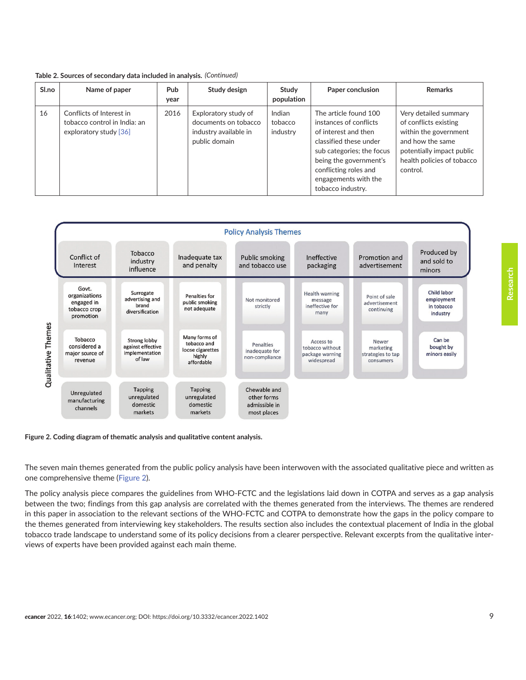<span id="page-8-0"></span>

| Table 2. Sources of secondary data included in analysis. (Continued) |  |  |  |
|----------------------------------------------------------------------|--|--|--|
|----------------------------------------------------------------------|--|--|--|

| Sl.no | Name of paper                                                                      | <b>Pub</b><br>year | Study design                                                                           | Study<br>population           | Paper conclusion                                                                                                                                                                                                               | <b>Remarks</b>                                                                                                                                                     |
|-------|------------------------------------------------------------------------------------|--------------------|----------------------------------------------------------------------------------------|-------------------------------|--------------------------------------------------------------------------------------------------------------------------------------------------------------------------------------------------------------------------------|--------------------------------------------------------------------------------------------------------------------------------------------------------------------|
| 16    | Conflicts of Interest in<br>tobacco control in India: an<br>exploratory study [36] | 2016               | Exploratory study of<br>documents on tobacco<br>industry available in<br>public domain | Indian<br>tobacco<br>industry | The article found 100<br>instances of conflicts<br>of interest and then<br>classified these under<br>sub categories; the focus<br>being the government's<br>conflicting roles and<br>engagements with the<br>tobacco industry. | Very detailed summary<br>of conflicts existing<br>within the government<br>and how the same<br>potentially impact public<br>health policies of tobacco<br>control. |



**Figure 2. Coding diagram of thematic analysis and qualitative content analysis.**

The seven main themes generated from the public policy analysis have been interwoven with the associated qualitative piece and written as one comprehensive theme (Figure 2).

The policy analysis piece compares the guidelines from WHO-FCTC and the legislations laid down in COTPA and serves as a gap analysis between the two; findings from this gap analysis are correlated with the themes generated from the interviews. The themes are rendered in this paper in association to the relevant sections of the WHO-FCTC and COTPA to demonstrate how the gaps in the policy compare to the themes generated from interviewing key stakeholders. The results section also includes the contextual placement of India in the global tobacco trade landscape to understand some of its policy decisions from a clearer perspective. Relevant excerpts from the qualitative interviews of experts have been provided against each main theme.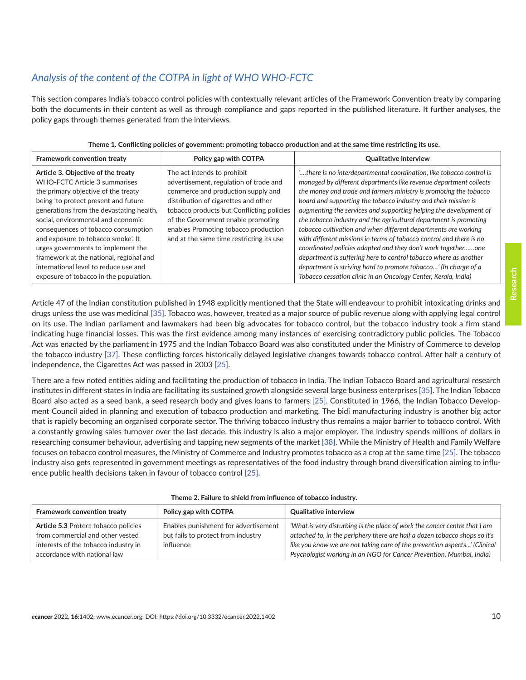## *Analysis of the content of the COTPA in light of WHO WHO-FCTC*

This section compares India's tobacco control policies with contextually relevant articles of the Framework Convention treaty by comparing both the documents in their content as well as through compliance and gaps reported in the published literature. It further analyses, the policy gaps through themes generated from the interviews.

| Framework convention treaty                                                                                                                                                                                                                                                                                                                                                                                                                                                           | Policy gap with COTPA                                                                                                                                                                                                                                                                                                      | <b>Qualitative interview</b>                                                                                                                                                                                                                                                                                                                                                                                                                                                                                                                                                                                                                                                                                                                                                                                                                |
|---------------------------------------------------------------------------------------------------------------------------------------------------------------------------------------------------------------------------------------------------------------------------------------------------------------------------------------------------------------------------------------------------------------------------------------------------------------------------------------|----------------------------------------------------------------------------------------------------------------------------------------------------------------------------------------------------------------------------------------------------------------------------------------------------------------------------|---------------------------------------------------------------------------------------------------------------------------------------------------------------------------------------------------------------------------------------------------------------------------------------------------------------------------------------------------------------------------------------------------------------------------------------------------------------------------------------------------------------------------------------------------------------------------------------------------------------------------------------------------------------------------------------------------------------------------------------------------------------------------------------------------------------------------------------------|
| Article 3. Objective of the treaty<br>WHO-FCTC Article 3 summarises<br>the primary objective of the treaty<br>being 'to protect present and future<br>generations from the devastating health,<br>social, environmental and economic<br>consequences of tobacco consumption<br>and exposure to tobacco smoke'. It<br>urges governments to implement the<br>framework at the national, regional and<br>international level to reduce use and<br>exposure of tobacco in the population. | The act intends to prohibit<br>advertisement, regulation of trade and<br>commerce and production supply and<br>distribution of cigarettes and other<br>tobacco products but Conflicting policies<br>of the Government enable promoting<br>enables Promoting tobacco production<br>and at the same time restricting its use | there is no interdepartmental coordination, like tobacco control is<br>managed by different departments like revenue department collects<br>the money and trade and farmers ministry is promoting the tobacco<br>board and supporting the tobacco industry and their mission is<br>augmenting the services and supporting helping the development of<br>the tobacco industry and the agricultural department is promoting<br>tobacco cultivation and when different departments are working<br>with different missions in terms of tobacco control and there is no<br>coordinated policies adapted and they don't work togetherone<br>department is suffering here to control tobacco where as another<br>department is striving hard to promote tobacco' (In charge of a<br>Tobacco cessation clinic in an Oncology Center, Kerala, India) |

Article 47 of the Indian constitution published in 1948 explicitly mentioned that the State will endeavour to prohibit intoxicating drinks and drugs unless the use was medicinal [\[35\]](#page-18-0). Tobacco was, however, treated as a major source of public revenue along with applying legal control on its use. The Indian parliament and lawmakers had been big advocates for tobacco control, but the tobacco industry took a firm stand indicating huge financial losses. This was the first evidence among many instances of exercising contradictory public policies. The Tobacco Act was enacted by the parliament in 1975 and the Indian Tobacco Board was also constituted under the Ministry of Commerce to develop the tobacco industry [\[37\].](#page-18-0) These conflicting forces historically delayed legislative changes towards tobacco control. After half a century of independence, the Cigarettes Act was passed in 2003 [\[25\].](#page-17-0)

There are a few noted entities aiding and facilitating the production of tobacco in India. The Indian Tobacco Board and agricultural research institutes in different states in India are facilitating its sustained growth alongside several large business enterprises [\[35\].](#page-18-0) The Indian Tobacco Board also acted as a seed bank, a seed research body and gives loans to farmers [\[25\]](#page-17-0). Constituted in 1966, the Indian Tobacco Development Council aided in planning and execution of tobacco production and marketing. The bidi manufacturing industry is another big actor that is rapidly becoming an organised corporate sector. The thriving tobacco industry thus remains a major barrier to tobacco control. With a constantly growing sales turnover over the last decade, this industry is also a major employer. The industry spends millions of dollars in researching consumer behaviour, advertising and tapping new segments of the market [\[38\].](#page-18-0) While the Ministry of Health and Family Welfare focuses on tobacco control measures, the Ministry of Commerce and Industry promotes tobacco as a crop at the same time [\[25\].](#page-17-0) The tobacco industry also gets represented in government meetings as representatives of the food industry through brand diversification aiming to influence public health decisions taken in favour of tobacco control [\[25\].](#page-17-0)

| Framework convention treaty                                                                                                                      | Policy gap with COTPA                                                                   | <b>Qualitative interview</b>                                                                                                                                                                                                                                                                                 |
|--------------------------------------------------------------------------------------------------------------------------------------------------|-----------------------------------------------------------------------------------------|--------------------------------------------------------------------------------------------------------------------------------------------------------------------------------------------------------------------------------------------------------------------------------------------------------------|
| Article 5.3 Protect tobacco policies<br>from commercial and other vested<br>interests of the tobacco industry in<br>accordance with national law | Enables punishment for advertisement<br>but fails to protect from industry<br>influence | 'What is very disturbing is the place of work the cancer centre that I am<br>attached to, in the periphery there are half a dozen tobacco shops so it's<br>like you know we are not taking care of the prevention aspects' (Clinical<br>Psychologist working in an NGO for Cancer Prevention, Mumbai, India) |

|  |  |  |  |  | Theme 2. Failure to shield from influence of tobacco industry. |  |
|--|--|--|--|--|----------------------------------------------------------------|--|
|--|--|--|--|--|----------------------------------------------------------------|--|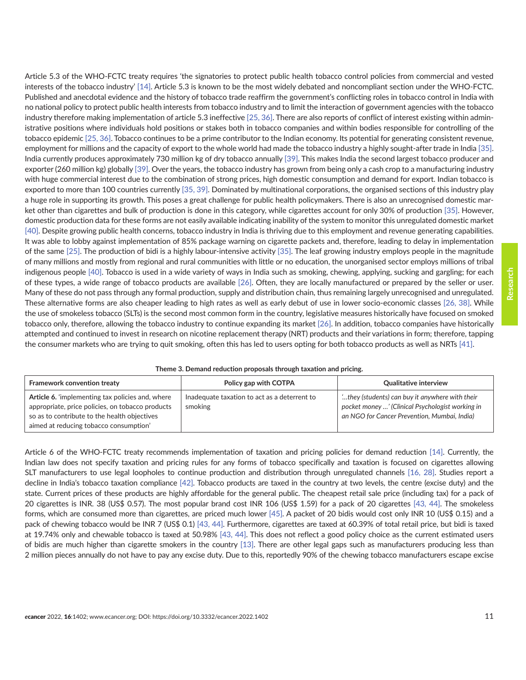Article 5.3 of the WHO-FCTC treaty requires 'the signatories to protect public health tobacco control policies from commercial and vested interests of the tobacco industry' [\[14\].](#page-17-0) Article 5.3 is known to be the most widely debated and noncompliant section under the WHO-FCTC. Published and anecdotal evidence and the history of tobacco trade reaffirm the government's conflicting roles in tobacco control in India with no national policy to protect public health interests from tobacco industry and to limit the interaction of government agencies with the tobacco industry therefore making implementation of article 5.3 ineffective [\[25,](#page-17-0) [36\]](#page-18-0). There are also reports of conflict of interest existing within administrative positions where individuals hold positions or stakes both in tobacco companies and within bodies responsible for controlling of the tobacco epidemic [\[25,](#page-17-0) [36\]](#page-18-0). Tobacco continues to be a prime contributor to the Indian economy. Its potential for generating consistent revenue, employment for millions and the capacity of export to the whole world had made the tobacco industry a highly sought-after trade in India [\[35\].](#page-18-0) India currently produces approximately 730 million kg of dry tobacco annually [\[39\].](#page-18-0) This makes India the second largest tobacco producer and exporter (260 million kg) globally [\[39\].](#page-18-0) Over the years, the tobacco industry has grown from being only a cash crop to a manufacturing industry with huge commercial interest due to the combination of strong prices, high domestic consumption and demand for export. Indian tobacco is exported to more than 100 countries currently [\[35, 39\]](#page-18-0). Dominated by multinational corporations, the organised sections of this industry play a huge role in supporting its growth. This poses a great challenge for public health policymakers. There is also an unrecognised domestic market other than cigarettes and bulk of production is done in this category, while cigarettes account for only 30% of production [\[35\]](#page-18-0). However, domestic production data for these forms are not easily available indicating inability of the system to monitor this unregulated domestic market [\[40\].](#page-18-0) Despite growing public health concerns, tobacco industry in India is thriving due to this employment and revenue generating capabilities. It was able to lobby against implementation of 85% package warning on cigarette packets and, therefore, leading to delay in implementation of the same [\[25\]](#page-17-0). The production of bidi is a highly labour-intensive activity [\[35\].](#page-18-0) The leaf growing industry employs people in the magnitude of many millions and mostly from regional and rural communities with little or no education, the unorganised sector employs millions of tribal indigenous people [\[40\]](#page-18-0). Tobacco is used in a wide variety of ways in India such as smoking, chewing, applying, sucking and gargling; for each of these types, a wide range of tobacco products are available [\[26\]](#page-17-0). Often, they are locally manufactured or prepared by the seller or user. Many of these do not pass through any formal production, supply and distribution chain, thus remaining largely unrecognised and unregulated. These alternative forms are also cheaper leading to high rates as well as early debut of use in lower socio-economic classes [\[26,](#page-17-0) [38\]](#page-18-0). While the use of smokeless tobacco (SLTs) is the second most common form in the country, legislative measures historically have focused on smoked tobacco only, therefore, allowing the tobacco industry to continue expanding its market [\[26\].](#page-17-0) In addition, tobacco companies have historically attempted and continued to invest in research on nicotine replacement therapy (NRT) products and their variations in form; therefore, tapping the consumer markets who are trying to quit smoking, often this has led to users opting for both tobacco products as well as NRTs [\[41\]](#page-18-0).

| Theme 3. Demand reduction proposals through taxation and pricing. |  |  |  |  |  |  |  |
|-------------------------------------------------------------------|--|--|--|--|--|--|--|
|-------------------------------------------------------------------|--|--|--|--|--|--|--|

| Framework convention treaty                                                                                                                                                                           | Policy gap with COTPA                                   | <b>Qualitative interview</b>                                                                                                                       |
|-------------------------------------------------------------------------------------------------------------------------------------------------------------------------------------------------------|---------------------------------------------------------|----------------------------------------------------------------------------------------------------------------------------------------------------|
| <b>Article 6.</b> 'implementing tax policies and, where<br>appropriate, price policies, on tobacco products<br>so as to contribute to the health objectives<br>aimed at reducing tobacco consumption' | Inadequate taxation to act as a deterrent to<br>smoking | they (students) can buy it anywhere with their<br>pocket money ' (Clinical Psychologist working in<br>an NGO for Cancer Prevention, Mumbai, India) |

Article 6 of the WHO-FCTC treaty recommends implementation of taxation and pricing policies for demand reduction [\[14\].](#page-17-0) Currently, the Indian law does not specify taxation and pricing rules for any forms of tobacco specifically and taxation is focused on cigarettes allowing SLT manufacturers to use legal loopholes to continue production and distribution through unregulated channels [\[16, 28\].](#page-17-0) Studies report a decline in India's tobacco taxation compliance [\[42\].](#page-18-0) Tobacco products are taxed in the country at two levels, the centre (excise duty) and the state. Current prices of these products are highly affordable for the general public. The cheapest retail sale price (including tax) for a pack of 20 cigarettes is INR. 38 (US\$ 0.57). The most popular brand cost INR 106 (US\$ 1.59) for a pack of 20 cigarettes [\[43,](#page-18-0) [44\].](#page-18-0) The smokeless forms, which are consumed more than cigarettes, are priced much lower [\[45\].](#page-18-0) A packet of 20 bidis would cost only INR 10 (US\$ 0.15) and a pack of chewing tobacco would be INR 7 (US\$ 0.1) [\[43,](#page-18-0) [44\].](#page-18-0) Furthermore, cigarettes are taxed at 60.39% of total retail price, but bidi is taxed at 19.74% only and chewable tobacco is taxed at 50.98% [\[43, 44\]](#page-18-0). This does not reflect a good policy choice as the current estimated users of bidis are much higher than cigarette smokers in the country [\[13\]](#page-17-0). There are other legal gaps such as manufacturers producing less than 2 million pieces annually do not have to pay any excise duty. Due to this, reportedly 90% of the chewing tobacco manufacturers escape excise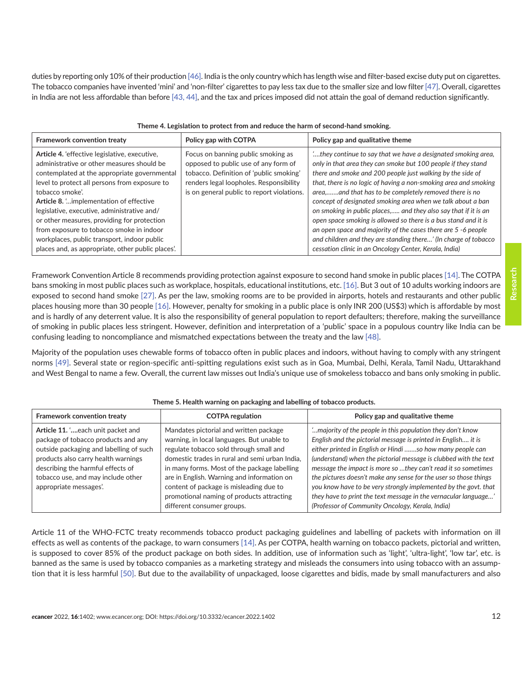duties by reporting only 10% of their production [\[46\]](#page-18-0). India is the only country which has length wise and filter-based excise duty put on cigarettes. The tobacco companies have invented 'mini' and 'non-filter' cigarettes to pay less tax due to the smaller size and low filter [\[47\]](#page-18-0). Overall, cigarettes in India are not less affordable than before [\[43, 44\],](#page-18-0) and the tax and prices imposed did not attain the goal of demand reduction significantly.

| Framework convention treaty                                                                                                                                                                                                                                                                                                                                                                                                                                                                              | Policy gap with COTPA                                                                                                                                                                                          | Policy gap and qualitative theme                                                                                                                                                                                                                                                                                                                                                                                                                                                                                                                                                                                                                                                                                               |
|----------------------------------------------------------------------------------------------------------------------------------------------------------------------------------------------------------------------------------------------------------------------------------------------------------------------------------------------------------------------------------------------------------------------------------------------------------------------------------------------------------|----------------------------------------------------------------------------------------------------------------------------------------------------------------------------------------------------------------|--------------------------------------------------------------------------------------------------------------------------------------------------------------------------------------------------------------------------------------------------------------------------------------------------------------------------------------------------------------------------------------------------------------------------------------------------------------------------------------------------------------------------------------------------------------------------------------------------------------------------------------------------------------------------------------------------------------------------------|
| Article 4. 'effective legislative, executive,<br>administrative or other measures should be<br>contemplated at the appropriate governmental<br>level to protect all persons from exposure to<br>tobacco smoke'.<br>Article 8.  implementation of effective<br>legislative, executive, administrative and/<br>or other measures, providing for protection<br>from exposure to tobacco smoke in indoor<br>workplaces, public transport, indoor public<br>places and, as appropriate, other public places'. | Focus on banning public smoking as<br>opposed to public use of any form of<br>tobacco. Definition of 'public smoking'<br>renders legal loopholes. Responsibility<br>is on general public to report violations. | , they continue to say that we have a designated smoking area,<br>only in that area they can smoke but 100 people if they stand<br>there and smoke and 200 people just walking by the side of<br>that, there is no logic of having a non-smoking area and smoking<br>area,and that has to be completely removed there is no<br>concept of designated smoking area when we talk about a ban<br>on smoking in public places, and they also say that if it is an<br>open space smoking is allowed so there is a bus stand and it is<br>an open space and majority of the cases there are 5 -6 people<br>and children and they are standing there' (In charge of tobacco<br>cessation clinic in an Oncology Center, Kerala, India) |

Framework Convention Article 8 recommends providing protection against exposure to second hand smoke in public places [\[14\]](#page-17-0). The COTPA bans smoking in most public places such as workplace, hospitals, educational institutions, etc. [\[16\].](#page-17-0) But 3 out of 10 adults working indoors are exposed to second hand smoke [\[27\].](#page-17-0) As per the law, smoking rooms are to be provided in airports, hotels and restaurants and other public places housing more than 30 people [\[16\].](#page-17-0) However, penalty for smoking in a public place is only INR 200 (US\$3) which is affordable by most and is hardly of any deterrent value. It is also the responsibility of general population to report defaulters; therefore, making the surveillance of smoking in public places less stringent. However, definition and interpretation of a 'public' space in a populous country like India can be confusing leading to noncompliance and mismatched expectations between the treaty and the law [\[48\]](#page-18-0).

Majority of the population uses chewable forms of tobacco often in public places and indoors, without having to comply with any stringent norms [\[49\]](#page-18-0). Several state or region-specific anti-spitting regulations exist such as in Goa, Mumbai, Delhi, Kerala, Tamil Nadu, Uttarakhand and West Bengal to name a few. Overall, the current law misses out India's unique use of smokeless tobacco and bans only smoking in public.

| Framework convention treaty                                                                                                                                                                                                                                     | <b>COTPA regulation</b>                                                                                                                                                                                                                                                                                                                                                                               | Policy gap and qualitative theme                                                                                                                                                                                                                                                                                                                                                                                                                                                                                                                                                             |
|-----------------------------------------------------------------------------------------------------------------------------------------------------------------------------------------------------------------------------------------------------------------|-------------------------------------------------------------------------------------------------------------------------------------------------------------------------------------------------------------------------------------------------------------------------------------------------------------------------------------------------------------------------------------------------------|----------------------------------------------------------------------------------------------------------------------------------------------------------------------------------------------------------------------------------------------------------------------------------------------------------------------------------------------------------------------------------------------------------------------------------------------------------------------------------------------------------------------------------------------------------------------------------------------|
| Article 11. 'each unit packet and<br>package of tobacco products and any<br>outside packaging and labelling of such<br>products also carry health warnings<br>describing the harmful effects of<br>tobacco use, and may include other<br>appropriate messages'. | Mandates pictorial and written package<br>warning, in local languages. But unable to<br>regulate tobacco sold through small and<br>domestic trades in rural and semi urban India,<br>in many forms. Most of the package labelling<br>are in English. Warning and information on<br>content of package is misleading due to<br>promotional naming of products attracting<br>different consumer groups. | " majority of the people in this population they don't know<br>English and the pictorial message is printed in English it is<br>either printed in English or Hindi so how many people can<br>(understand) when the pictorial message is clubbed with the text<br>message the impact is more so they can't read it so sometimes<br>the pictures doesn't make any sense for the user so those things<br>you know have to be very strongly implemented by the govt. that<br>they have to print the text message in the vernacular language'<br>(Professor of Community Oncology, Kerala, India) |

#### **Theme 5. Health warning on packaging and labelling of tobacco products.**

Article 11 of the WHO-FCTC treaty recommends tobacco product packaging guidelines and labelling of packets with information on ill effects as well as contents of the package, to warn consumers [\[14\].](#page-17-0) As per COTPA, health warning on tobacco packets, pictorial and written, is supposed to cover 85% of the product package on both sides. In addition, use of information such as 'light', 'ultra-light', 'low tar', etc. is banned as the same is used by tobacco companies as a marketing strategy and misleads the consumers into using tobacco with an assumption that it is less harmful [\[50\]](#page-19-0). But due to the availability of unpackaged, loose cigarettes and bidis, made by small manufacturers and also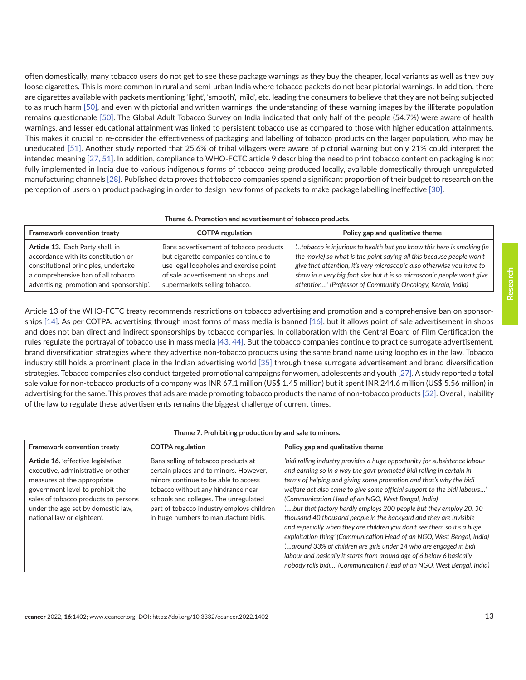often domestically, many tobacco users do not get to see these package warnings as they buy the cheaper, local variants as well as they buy loose cigarettes. This is more common in rural and semi-urban India where tobacco packets do not bear pictorial warnings. In addition, there are cigarettes available with packets mentioning 'light', 'smooth', 'mild', etc. leading the consumers to believe that they are not being subjected to as much harm [\[50\]](#page-19-0), and even with pictorial and written warnings, the understanding of these warning images by the illiterate population remains questionable [\[50\]](#page-19-0). The Global Adult Tobacco Survey on India indicated that only half of the people (54.7%) were aware of health warnings, and lesser educational attainment was linked to persistent tobacco use as compared to those with higher education attainments. This makes it crucial to re-consider the effectiveness of packaging and labelling of tobacco products on the larger population, who may be uneducated [\[51\].](#page-19-0) Another study reported that 25.6% of tribal villagers were aware of pictorial warning but only 21% could interpret the intended meaning [\[27,](#page-17-0) [51\]](#page-19-0). In addition, compliance to WHO-FCTC article 9 describing the need to print tobacco content on packaging is not fully implemented in India due to various indigenous forms of tobacco being produced locally, available domestically through unregulated manufacturing channels [\[28\]](#page-17-0). Published data proves that tobacco companies spend a significant proportion of their budget to research on the perception of users on product packaging in order to design new forms of packets to make package labelling ineffective [\[30\]](#page-17-0).

#### **Theme 6. Promotion and advertisement of tobacco products.**

| Framework convention treaty                                                                                                                            | <b>COTPA regulation</b>                                                                                                                                       | Policy gap and qualitative theme                                                                                                                                                                                                                                                                 |
|--------------------------------------------------------------------------------------------------------------------------------------------------------|---------------------------------------------------------------------------------------------------------------------------------------------------------------|--------------------------------------------------------------------------------------------------------------------------------------------------------------------------------------------------------------------------------------------------------------------------------------------------|
| Article 13. 'Each Party shall, in<br>accordance with its constitution or<br>constitutional principles, undertake<br>a comprehensive ban of all tobacco | Bans advertisement of tobacco products<br>but cigarette companies continue to<br>use legal loopholes and exercise point<br>of sale advertisement on shops and | tobacco is injurious to health but you know this hero is smoking (in<br>the movie) so what is the point saying all this because people won't<br>give that attention, it's very microscopic also otherwise you have to<br>show in a very big font size but it is so microscopic people won't give |
| advertising, promotion and sponsorship'.                                                                                                               | supermarkets selling tobacco.                                                                                                                                 | attention' (Professor of Community Oncology, Kerala, India)                                                                                                                                                                                                                                      |

Article 13 of the WHO-FCTC treaty recommends restrictions on tobacco advertising and promotion and a comprehensive ban on sponsorships [\[14\].](#page-17-0) As per COTPA, advertising through most forms of mass media is banned [\[16\]](#page-17-0), but it allows point of sale advertisement in shops and does not ban direct and indirect sponsorships by tobacco companies. In collaboration with the Central Board of Film Certification the rules regulate the portrayal of tobacco use in mass media [\[43, 44\].](#page-18-0) But the tobacco companies continue to practice surrogate advertisement, brand diversification strategies where they advertise non-tobacco products using the same brand name using loopholes in the law. Tobacco industry still holds a prominent place in the Indian advertising world [\[35\]](#page-18-0) through these surrogate advertisement and brand diversification strategies. Tobacco companies also conduct targeted promotional campaigns for women, adolescents and youth [\[27\].](#page-17-0) A study reported a total sale value for non-tobacco products of a company was INR 67.1 million (US\$ 1.45 million) but it spent INR 244.6 million (US\$ 5.56 million) in advertising for the same. This proves that ads are made promoting tobacco products the name of non-tobacco products [\[52\].](#page-19-0) Overall, inability of the law to regulate these advertisements remains the biggest challenge of current times.

#### **Theme 7. Prohibiting production by and sale to minors.**

| Framework convention treaty                                                                                                                                                                                                                              | <b>COTPA regulation</b>                                                                                                                                                                                                                                                                    | Policy gap and qualitative theme                                                                                                                                                                                                                                                                                                                                                                                                                                                                                                                                                                                                                                                                                                                                                                                                                                                 |
|----------------------------------------------------------------------------------------------------------------------------------------------------------------------------------------------------------------------------------------------------------|--------------------------------------------------------------------------------------------------------------------------------------------------------------------------------------------------------------------------------------------------------------------------------------------|----------------------------------------------------------------------------------------------------------------------------------------------------------------------------------------------------------------------------------------------------------------------------------------------------------------------------------------------------------------------------------------------------------------------------------------------------------------------------------------------------------------------------------------------------------------------------------------------------------------------------------------------------------------------------------------------------------------------------------------------------------------------------------------------------------------------------------------------------------------------------------|
| Article 16. 'effective legislative,<br>executive, administrative or other<br>measures at the appropriate<br>government level to prohibit the<br>sales of tobacco products to persons<br>under the age set by domestic law,<br>national law or eighteen'. | Bans selling of tobacco products at<br>certain places and to minors. However,<br>minors continue to be able to access<br>tobacco without any hindrance near<br>schools and colleges. The unregulated<br>part of tobacco industry employs children<br>in huge numbers to manufacture bidis. | 'bidi rolling industry provides a huge opportunity for subsistence labour<br>and earning so in a way the govt promoted bidi rolling in certain in<br>terms of helping and giving some promotion and that's why the bidi<br>welfare act also came to give some official support to the bidi labours'<br>(Communication Head of an NGO, West Bengal, India)<br>but that factory hardly employs 200 people but they employ 20, 30<br>thousand 40 thousand people in the backyard and they are invisible<br>and especially when they are children you don't see them so it's a huge<br>exploitation thing' (Communication Head of an NGO, West Bengal, India)<br>around 33% of children are girls under 14 who are engaged in bidi<br>labour and basically it starts from around age of 6 below 6 basically<br>nobody rolls bidi' (Communication Head of an NGO, West Bengal, India) |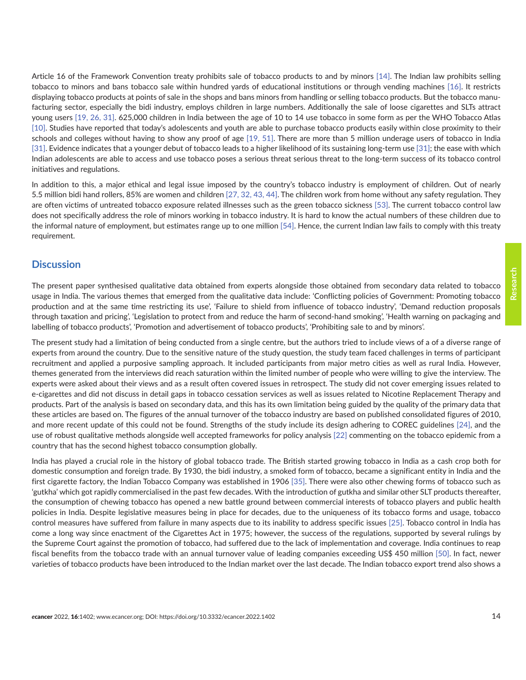**Research**

displaying tobacco products at points of sale in the shops and bans minors from handling or selling tobacco products. But the tobacco manufacturing sector, especially the bidi industry, employs children in large numbers. Additionally the sale of loose cigarettes and SLTs attract young users [\[19, 26,](#page-17-0) [31\]](#page-18-0). 625,000 children in India between the age of 10 to 14 use tobacco in some form as per the WHO Tobacco Atlas [\[10\].](#page-16-0) Studies have reported that today's adolescents and youth are able to purchase tobacco products easily within close proximity to their schools and colleges without having to show any proof of age [\[19,](#page-17-0) [51\]](#page-19-0). There are more than 5 million underage users of tobacco in India [\[31\].](#page-18-0) Evidence indicates that a younger debut of tobacco leads to a higher likelihood of its sustaining long-term use [\[31\];](#page-18-0) the ease with which Indian adolescents are able to access and use tobacco poses a serious threat serious threat to the long-term success of its tobacco control initiatives and regulations.

Article 16 of the Framework Convention treaty prohibits sale of tobacco products to and by minors [\[14\]](#page-17-0). The Indian law prohibits selling tobacco to minors and bans tobacco sale within hundred yards of educational institutions or through vending machines [\[16\].](#page-17-0) It restricts

In addition to this, a major ethical and legal issue imposed by the country's tobacco industry is employment of children. Out of nearly 5.5 million bidi hand rollers, 85% are women and children [\[27,](#page-17-0) [32, 43, 44\]](#page-18-0). The children work from home without any safety regulation. They are often victims of untreated tobacco exposure related illnesses such as the green tobacco sickness [\[53\]](#page-19-0). The current tobacco control law does not specifically address the role of minors working in tobacco industry. It is hard to know the actual numbers of these children due to the informal nature of employment, but estimates range up to one million [\[54\]](#page-19-0). Hence, the current Indian law fails to comply with this treaty requirement.

## **Discussion**

The present paper synthesised qualitative data obtained from experts alongside those obtained from secondary data related to tobacco usage in India. The various themes that emerged from the qualitative data include: 'Conflicting policies of Government: Promoting tobacco production and at the same time restricting its use', 'Failure to shield from influence of tobacco industry', 'Demand reduction proposals through taxation and pricing', 'Legislation to protect from and reduce the harm of second-hand smoking', 'Health warning on packaging and labelling of tobacco products', 'Promotion and advertisement of tobacco products', 'Prohibiting sale to and by minors'.

The present study had a limitation of being conducted from a single centre, but the authors tried to include views of a of a diverse range of experts from around the country. Due to the sensitive nature of the study question, the study team faced challenges in terms of participant recruitment and applied a purposive sampling approach. It included participants from major metro cities as well as rural India. However, themes generated from the interviews did reach saturation within the limited number of people who were willing to give the interview. The experts were asked about their views and as a result often covered issues in retrospect. The study did not cover emerging issues related to e-cigarettes and did not discuss in detail gaps in tobacco cessation services as well as issues related to Nicotine Replacement Therapy and products. Part of the analysis is based on secondary data, and this has its own limitation being guided by the quality of the primary data that these articles are based on. The figures of the annual turnover of the tobacco industry are based on published consolidated figures of 2010, and more recent update of this could not be found. Strengths of the study include its design adhering to COREC guidelines [\[24\],](#page-17-0) and the use of robust qualitative methods alongside well accepted frameworks for policy analysis [\[22\]](#page-17-0) commenting on the tobacco epidemic from a country that has the second highest tobacco consumption globally.

India has played a crucial role in the history of global tobacco trade. The British started growing tobacco in India as a cash crop both for domestic consumption and foreign trade. By 1930, the bidi industry, a smoked form of tobacco, became a significant entity in India and the first cigarette factory, the Indian Tobacco Company was established in 1906 [\[35\]](#page-18-0). There were also other chewing forms of tobacco such as 'gutkha' which got rapidly commercialised in the past few decades. With the introduction of gutkha and similar other SLT products thereafter, the consumption of chewing tobacco has opened a new battle ground between commercial interests of tobacco players and public health policies in India. Despite legislative measures being in place for decades, due to the uniqueness of its tobacco forms and usage, tobacco control measures have suffered from failure in many aspects due to its inability to address specific issues [\[25\].](#page-17-0) Tobacco control in India has come a long way since enactment of the Cigarettes Act in 1975; however, the success of the regulations, supported by several rulings by the Supreme Court against the promotion of tobacco, had suffered due to the lack of implementation and coverage. India continues to reap fiscal benefits from the tobacco trade with an annual turnover value of leading companies exceeding US\$ 450 million [\[50\]](#page-19-0). In fact, newer varieties of tobacco products have been introduced to the Indian market over the last decade. The Indian tobacco export trend also shows a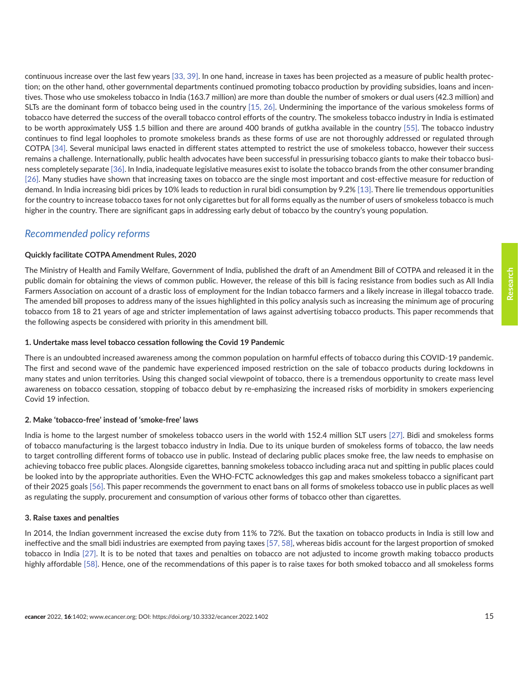continuous increase over the last few years [\[33,](#page-18-0) [39\].](#page-18-0) In one hand, increase in taxes has been projected as a measure of public health protection; on the other hand, other governmental departments continued promoting tobacco production by providing subsidies, loans and incentives. Those who use smokeless tobacco in India (163.7 million) are more than double the number of smokers or dual users (42.3 million) and SLTs are the dominant form of tobacco being used in the country [\[15,](#page-17-0) [26\]](#page-17-0). Undermining the importance of the various smokeless forms of tobacco have deterred the success of the overall tobacco control efforts of the country. The smokeless tobacco industry in India is estimated to be worth approximately US\$ 1.5 billion and there are around 400 brands of gutkha available in the country [\[55\]](#page-19-0). The tobacco industry continues to find legal loopholes to promote smokeless brands as these forms of use are not thoroughly addressed or regulated through COTPA [\[34\].](#page-18-0) Several municipal laws enacted in different states attempted to restrict the use of smokeless tobacco, however their success remains a challenge. Internationally, public health advocates have been successful in pressurising tobacco giants to make their tobacco business completely separate [\[36\].](#page-18-0) In India, inadequate legislative measures exist to isolate the tobacco brands from the other consumer branding [\[26\].](#page-17-0) Many studies have shown that increasing taxes on tobacco are the single most important and cost-effective measure for reduction of demand. In India increasing bidi prices by 10% leads to reduction in rural bidi consumption by 9.2% [\[13\]](#page-17-0). There lie tremendous opportunities for the country to increase tobacco taxes for not only cigarettes but for all forms equally as the number of users of smokeless tobacco is much higher in the country. There are significant gaps in addressing early debut of tobacco by the country's young population.

### *Recommended policy reforms*

### **Quickly facilitate COTPA Amendment Rules, 2020**

The Ministry of Health and Family Welfare, Government of India, published the draft of an Amendment Bill of COTPA and released it in the public domain for obtaining the views of common public. However, the release of this bill is facing resistance from bodies such as All India Farmers Association on account of a drastic loss of employment for the Indian tobacco farmers and a likely increase in illegal tobacco trade. The amended bill proposes to address many of the issues highlighted in this policy analysis such as increasing the minimum age of procuring tobacco from 18 to 21 years of age and stricter implementation of laws against advertising tobacco products. This paper recommends that the following aspects be considered with priority in this amendment bill.

### **1. Undertake mass level tobacco cessation following the Covid 19 Pandemic**

There is an undoubted increased awareness among the common population on harmful effects of tobacco during this COVID-19 pandemic. The first and second wave of the pandemic have experienced imposed restriction on the sale of tobacco products during lockdowns in many states and union territories. Using this changed social viewpoint of tobacco, there is a tremendous opportunity to create mass level awareness on tobacco cessation, stopping of tobacco debut by re-emphasizing the increased risks of morbidity in smokers experiencing Covid 19 infection.

### **2. Make 'tobacco-free' instead of 'smoke-free' laws**

India is home to the largest number of smokeless tobacco users in the world with 152.4 million SLT users [\[27\].](#page-17-0) Bidi and smokeless forms of tobacco manufacturing is the largest tobacco industry in India. Due to its unique burden of smokeless forms of tobacco, the law needs to target controlling different forms of tobacco use in public. Instead of declaring public places smoke free, the law needs to emphasise on achieving tobacco free public places. Alongside cigarettes, banning smokeless tobacco including araca nut and spitting in public places could be looked into by the appropriate authorities. Even the WHO-FCTC acknowledges this gap and makes smokeless tobacco a significant part of their 2025 goals [\[56\]](#page-19-0). This paper recommends the government to enact bans on all forms of smokeless tobacco use in public places as well as regulating the supply, procurement and consumption of various other forms of tobacco other than cigarettes.

### **3. Raise taxes and penalties**

In 2014, the Indian government increased the excise duty from 11% to 72%. But the taxation on tobacco products in India is still low and ineffective and the small bidi industries are exempted from paying taxes [\[57, 58\],](#page-19-0) whereas bidis account for the largest proportion of smoked tobacco in India [\[27\].](#page-17-0) It is to be noted that taxes and penalties on tobacco are not adjusted to income growth making tobacco products highly affordable [\[58\].](#page-19-0) Hence, one of the recommendations of this paper is to raise taxes for both smoked tobacco and all smokeless forms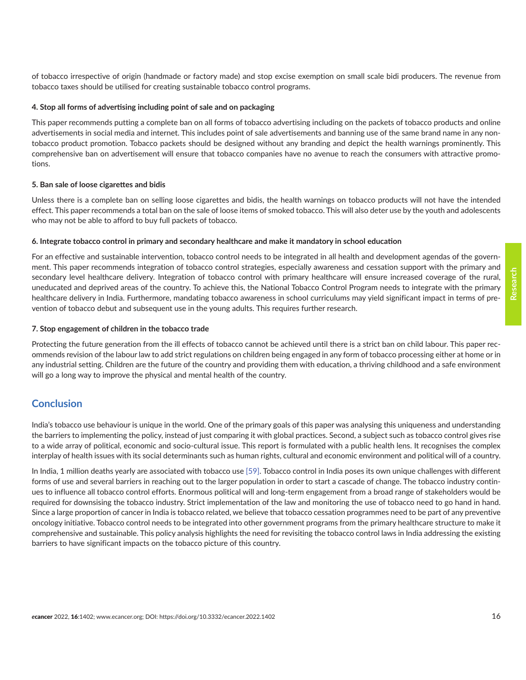of tobacco irrespective of origin (handmade or factory made) and stop excise exemption on small scale bidi producers. The revenue from tobacco taxes should be utilised for creating sustainable tobacco control programs.

#### **4. Stop all forms of advertising including point of sale and on packaging**

This paper recommends putting a complete ban on all forms of tobacco advertising including on the packets of tobacco products and online advertisements in social media and internet. This includes point of sale advertisements and banning use of the same brand name in any nontobacco product promotion. Tobacco packets should be designed without any branding and depict the health warnings prominently. This comprehensive ban on advertisement will ensure that tobacco companies have no avenue to reach the consumers with attractive promotions.

#### **5. Ban sale of loose cigarettes and bidis**

Unless there is a complete ban on selling loose cigarettes and bidis, the health warnings on tobacco products will not have the intended effect. This paper recommends a total ban on the sale of loose items of smoked tobacco. This will also deter use by the youth and adolescents who may not be able to afford to buy full packets of tobacco.

#### **6. Integrate tobacco control in primary and secondary healthcare and make it mandatory in school education**

For an effective and sustainable intervention, tobacco control needs to be integrated in all health and development agendas of the government. This paper recommends integration of tobacco control strategies, especially awareness and cessation support with the primary and secondary level healthcare delivery. Integration of tobacco control with primary healthcare will ensure increased coverage of the rural, uneducated and deprived areas of the country. To achieve this, the National Tobacco Control Program needs to integrate with the primary healthcare delivery in India. Furthermore, mandating tobacco awareness in school curriculums may yield significant impact in terms of prevention of tobacco debut and subsequent use in the young adults. This requires further research.

#### **7. Stop engagement of children in the tobacco trade**

Protecting the future generation from the ill effects of tobacco cannot be achieved until there is a strict ban on child labour. This paper recommends revision of the labour law to add strict regulations on children being engaged in any form of tobacco processing either at home or in any industrial setting. Children are the future of the country and providing them with education, a thriving childhood and a safe environment will go a long way to improve the physical and mental health of the country.

### **Conclusion**

India's tobacco use behaviour is unique in the world. One of the primary goals of this paper was analysing this uniqueness and understanding the barriers to implementing the policy, instead of just comparing it with global practices. Second, a subject such as tobacco control gives rise to a wide array of political, economic and socio-cultural issue. This report is formulated with a public health lens. It recognises the complex interplay of health issues with its social determinants such as human rights, cultural and economic environment and political will of a country.

In India, 1 million deaths yearly are associated with tobacco use [\[59\]](#page-19-0). Tobacco control in India poses its own unique challenges with different forms of use and several barriers in reaching out to the larger population in order to start a cascade of change. The tobacco industry continues to influence all tobacco control efforts. Enormous political will and long-term engagement from a broad range of stakeholders would be required for downsising the tobacco industry. Strict implementation of the law and monitoring the use of tobacco need to go hand in hand. Since a large proportion of cancer in India is tobacco related, we believe that tobacco cessation programmes need to be part of any preventive oncology initiative. Tobacco control needs to be integrated into other government programs from the primary healthcare structure to make it comprehensive and sustainable. This policy analysis highlights the need for revisiting the tobacco control laws in India addressing the existing barriers to have significant impacts on the tobacco picture of this country.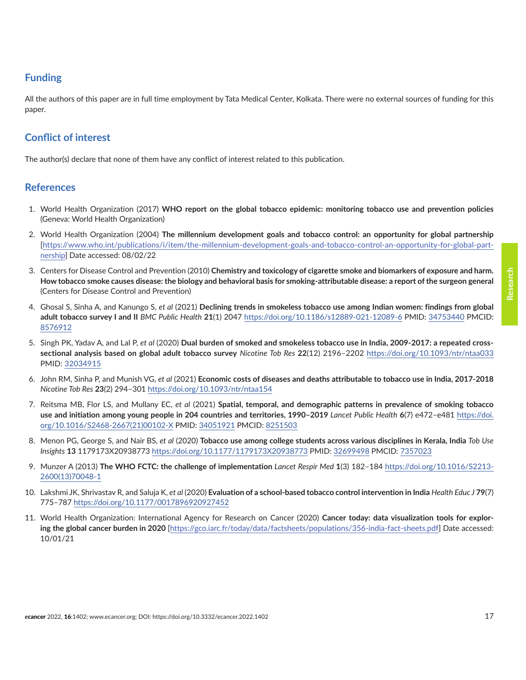## <span id="page-16-0"></span>**Funding**

All the authors of this paper are in full time employment by Tata Medical Center, Kolkata. There were no external sources of funding for this paper.

## **Conflict of interest**

The author(s) declare that none of them have any conflict of interest related to this publication.

### **References**

- 1. World Health Organization (2017) **WHO report on the global tobacco epidemic: monitoring tobacco use and prevention policies** (Geneva: World Health Organization)
- 2. World Health Organization (2004) **The millennium development goals and tobacco control: an opportunity for global partnership**  [[https://www.who.int/publications/i/item/the-millennium-development-goals-and-tobacco-control-an-opportunity-for-global-part](https://www.who.int/publications/i/item/the-millennium-development-goals-and-tobacco-control-an-opportunity-for-global-partnership)[nership\]](https://www.who.int/publications/i/item/the-millennium-development-goals-and-tobacco-control-an-opportunity-for-global-partnership) Date accessed: 08/02/22
- 3. Centers for Disease Control and Prevention (2010) **Chemistry and toxicology of cigarette smoke and biomarkers of exposure and harm. How tobacco smoke causes disease: the biology and behavioral basis for smoking-attributable disease: a report of the surgeon general** (Centers for Disease Control and Prevention)
- 4. Ghosal S, Sinha A, and Kanungo S, *et al* (2021) **Declining trends in smokeless tobacco use among Indian women: findings from global adult tobacco survey I and II** *BMC Public Health* **21**(1) 2047<https://doi.org/10.1186/s12889-021-12089-6> PMID: [34753440](http://www.ncbi.nlm.nih.gov/pubmed/34753440) PMCID: [8576912](http://www.ncbi.nlm.nih.gov/pmc/articles/PMC8576912)
- 5. Singh PK, Yadav A, and Lal P, *et al* (2020) **Dual burden of smoked and smokeless tobacco use in India, 2009-2017: a repeated crosssectional analysis based on global adult tobacco survey** *Nicotine Tob Res* **22**(12) 2196–2202 <https://doi.org/10.1093/ntr/ntaa033> PMID: [32034915](http://www.ncbi.nlm.nih.gov/pubmed/32034915)
- 6. John RM, Sinha P, and Munish VG, *et al* (2021) **Economic costs of diseases and deaths attributable to tobacco use in India, 2017-2018** *Nicotine Tob Res* **23**(2) 294–301<https://doi.org/10.1093/ntr/ntaa154>
- 7. Reitsma MB, Flor LS, and Mullany EC, *et al* (2021) **Spatial, temporal, and demographic patterns in prevalence of smoking tobacco use and initiation among young people in 204 countries and territories, 1990–2019** *Lancet Public Health* **6**(7) e472–e481 [https://doi.](https://doi.org/10.1016/S2468-2667(21)00102-X) [org/10.1016/S2468-2667\(21\)00102-X](https://doi.org/10.1016/S2468-2667(21)00102-X) PMID: [34051921](http://www.ncbi.nlm.nih.gov/pubmed/34051921) PMCID: [8251503](http://www.ncbi.nlm.nih.gov/pmc/articles/PMC8251503)
- 8. Menon PG, George S, and Nair BS, *et al* (2020) **Tobacco use among college students across various disciplines in Kerala, India** *Tob Use Insights* **13** 1179173X20938773<https://doi.org/10.1177/1179173X20938773> PMID: [32699498](http://www.ncbi.nlm.nih.gov/pubmed/32699498) PMCID: [7357023](http://www.ncbi.nlm.nih.gov/pmc/articles/PMC7357023)
- 9. Munzer A (2013) **The WHO FCTC: the challenge of implementation** *Lancet Respir Med* **1**(3) 182–184 [https://doi.org/10.1016/S2213-](https://doi.org/10.1016/S2213-2600(13)70048-1) [2600\(13\)70048-1](https://doi.org/10.1016/S2213-2600(13)70048-1)
- 10. Lakshmi JK, Shrivastav R, and Saluja K, *et al* (2020) **Evaluation of a school-based tobacco control intervention in India** *Health Educ J* **79**(7) 775–787 <https://doi.org/10.1177/0017896920927452>
- 11. World Health Organization: International Agency for Research on Cancer (2020) **Cancer today: data visualization tools for exploring the global cancer burden in 2020** [\[https://gco.iarc.fr/today/data/factsheets/populations/356-india-fact-sheets.pdf\]](https://gco.iarc.fr/today/data/factsheets/populations/356-india-fact-sheets.pdf) Date accessed: 10/01/21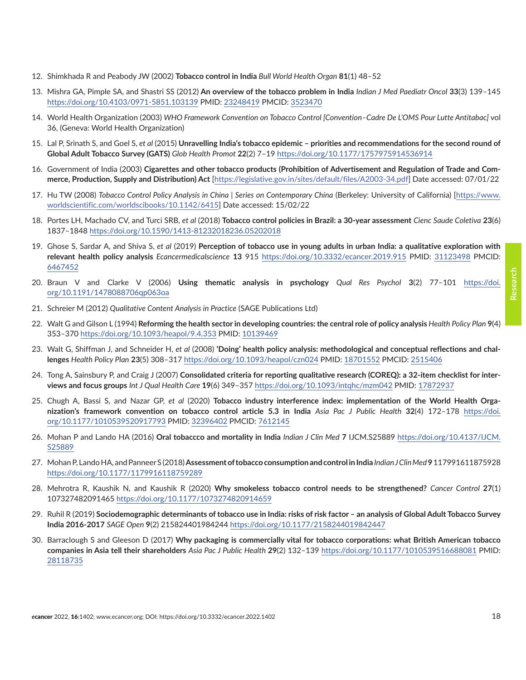- <span id="page-17-0"></span>12. Shimkhada R and Peabody JW (2002) **Tobacco control in India** *Bull World Health Organ* **81**(1) 48–52
- 13. Mishra GA, Pimple SA, and Shastri SS (2012) **An overview of the tobacco problem in India** *Indian J Med Paediatr Oncol* **33**(3) 139–145 <https://doi.org/10.4103/0971-5851.103139>PMID: [23248419](http://www.ncbi.nlm.nih.gov/pubmed/23248419) PMCID: [3523470](http://www.ncbi.nlm.nih.gov/pmc/articles/PMC3523470)
- 14. World Health Organization (2003) *WHO Framework Convention on Tobacco Control [Convention–Cadre De L'OMS Pour Lutte Antitabac]* vol 36, (Geneva: World Health Organization)
- 15. Lal P, Srinath S, and Goel S, *et al* (2015) **Unravelling India's tobacco epidemic priorities and recommendations for the second round of Global Adult Tobacco Survey (GATS)** *Glob Health Promot* **22**(2) 7–19 <https://doi.org/10.1177/1757975914536914>
- 16. Government of India (2003) **Cigarettes and other tobacco products (Prohibition of Advertisement and Regulation of Trade and Commerce, Production, Supply and Distribution) Act** [<https://legislative.gov.in/sites/default/files/A2003-34.pdf>] Date accessed: 07/01/22
- 17. Hu TW (2008) *Tobacco Control Policy Analysis in China | Series on Contemporary China* (Berkeley: University of California) [\[https://www.](https://www.worldscientific.com/worldscibooks/10.1142/6415) [worldscientific.com/worldscibooks/10.1142/6415\]](https://www.worldscientific.com/worldscibooks/10.1142/6415) Date accessed: 15/02/22
- 18. Portes LH, Machado CV, and Turci SRB, *et al* (2018) **Tobacco control policies in Brazil: a 30-year assessment** *Cienc Saude Coletiva* **23**(6) 1837–1848<https://doi.org/10.1590/1413-81232018236.05202018>
- 19. Ghose S, Sardar A, and Shiva S, *et al* (2019) **Perception of tobacco use in young adults in urban India: a qualitative exploration with relevant health policy analysis** *Ecancermedicalscience* **13** 915 <https://doi.org/10.3332/ecancer.2019.915> PMID: [31123498](http://www.ncbi.nlm.nih.gov/pubmed/31123498) PMCID: [6467452](http://www.ncbi.nlm.nih.gov/pmc/articles/PMC6467452)
- 20. Braun V and Clarke V (2006) **Using thematic analysis in psychology** *Qual Res Psychol* **3**(2) 77–101 [https://doi.](https://doi.org/10.1191/1478088706qp063oa) [org/10.1191/1478088706qp063oa](https://doi.org/10.1191/1478088706qp063oa)
- 21. Schreier M (2012) *Qualitative Content Analysis in Practice* (SAGE Publications Ltd)
- 22. Walt G and Gilson L (1994) **Reforming the health sector in developing countries: the central role of policy analysis** *Health Policy Plan* **9**(4) 353–370 <https://doi.org/10.1093/heapol/9.4.353> PMID: [10139469](http://www.ncbi.nlm.nih.gov/pubmed/10139469)
- 23. Walt G, Shiffman J, and Schneider H, *et al* (2008) **'Doing' health policy analysis: methodological and conceptual reflections and challenges** *Health Policy Plan* **23**(5) 308–317<https://doi.org/10.1093/heapol/czn024>PMID: [18701552](http://www.ncbi.nlm.nih.gov/pubmed/18701552) PMCID: [2515406](http://www.ncbi.nlm.nih.gov/pmc/articles/PMC2515406)
- 24. Tong A, Sainsbury P, and Craig J (2007) **Consolidated criteria for reporting qualitative research (COREQ): a 32-item checklist for interviews and focus groups** *Int J Qual Health Care* **19**(6) 349–357 <https://doi.org/10.1093/intqhc/mzm042> PMID: [17872937](http://www.ncbi.nlm.nih.gov/pubmed/17872937)
- 25. Chugh A, Bassi S, and Nazar GP, *et al* (2020) **Tobacco industry interference index: implementation of the World Health Organization's framework convention on tobacco control article 5.3 in India** *Asia Pac J Public Health* **32**(4) 172–178 [https://doi.](https://doi.org/10.1177/1010539520917793) [org/10.1177/1010539520917793](https://doi.org/10.1177/1010539520917793) PMID: [32396402](http://www.ncbi.nlm.nih.gov/pubmed/32396402) PMCID: [7612145](http://www.ncbi.nlm.nih.gov/pmc/articles/PMC7612145)
- 26. Mohan P and Lando HA (2016) **Oral tobaccco and mortality in India** *Indian J Clin Med* **7** IJCM.S25889 [https://doi.org/10.4137/IJCM.](https://doi.org/10.4137/IJCM.S25889) [S25889](https://doi.org/10.4137/IJCM.S25889)
- 27. Mohan P, Lando HA, and Panneer S (2018) **Assessment of tobacco consumption and control in India** *Indian J Clin Med* **9** 117991611875928 <https://doi.org/10.1177/1179916118759289>
- 28. Mehrotra R, Kaushik N, and Kaushik R (2020) **Why smokeless tobacco control needs to be strengthened?** *Cancer Control* **27**(1) 107327482091465 <https://doi.org/10.1177/1073274820914659>
- 29. Ruhil R (2019) **Sociodemographic determinants of tobacco use in India: risks of risk factor an analysis of Global Adult Tobacco Survey India 2016-2017** *SAGE Open* **9**(2) 215824401984244 <https://doi.org/10.1177/2158244019842447>
- 30. Barraclough S and Gleeson D (2017) **Why packaging is commercially vital for tobacco corporations: what British American tobacco companies in Asia tell their shareholders** *Asia Pac J Public Health* **29**(2) 132–139 <https://doi.org/10.1177/1010539516688081> PMID: [28118735](http://www.ncbi.nlm.nih.gov/pubmed/28118735)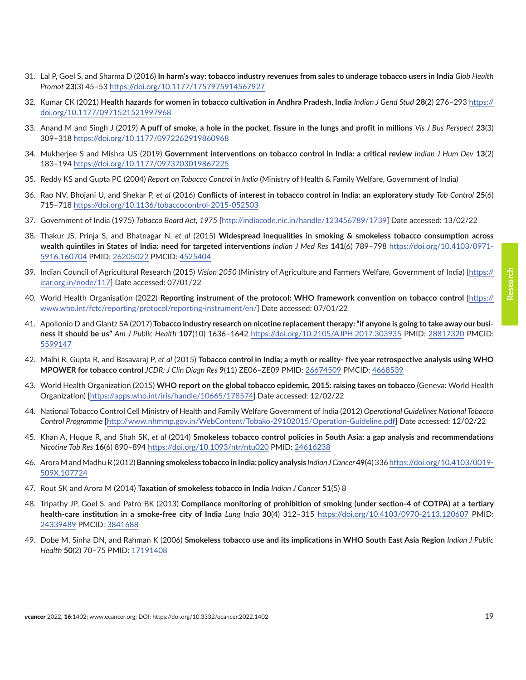**Research**

- <span id="page-18-0"></span>31. Lal P, Goel S, and Sharma D (2016) **In harm's way: tobacco industry revenues from sales to underage tobacco users in India** *Glob Health Promot* **23**(3) 45–53 <https://doi.org/10.1177/1757975914567927>
- 32. Kumar CK (2021) **Health hazards for women in tobacco cultivation in Andhra Pradesh, India** *Indian J Gend Stud* **28**(2) 276–293 [https://](https://doi.org/10.1177/0971521521997968) [doi.org/10.1177/0971521521997968](https://doi.org/10.1177/0971521521997968)
- 33. Anand M and Singh J (2019) **A puff of smoke, a hole in the pocket, fissure in the lungs and profit in millions** *Vis J Bus Perspect* **23**(3) 309–318 <https://doi.org/10.1177/0972262919860968>
- 34. Mukherjee S and Mishra US (2019) **Government interventions on tobacco control in India: a critical review** *Indian J Hum Dev* **13**(2) 183–194 <https://doi.org/10.1177/0973703019867225>
- 35. Reddy KS and Gupta PC (2004) *Report on Tobacco Control in India* (Ministry of Health & Family Welfare, Government of India)
- 36. Rao NV, Bhojani U, and Shekar P, *et al* (2016) **Conflicts of interest in tobacco control in India: an exploratory study** *Tob Control* **25**(6) 715–718 <https://doi.org/10.1136/tobaccocontrol-2015-052503>
- 37. Government of India (1975) *Tobacco Board Act, 1975* [\[http://indiacode.nic.in/handle/123456789/1739](http://indiacode.nic.in/handle/123456789/1739)] Date accessed: 13/02/22
- 38. Thakur JS, Prinja S, and Bhatnagar N, *et al* (2015) **Widespread inequalities in smoking & smokeless tobacco consumption across wealth quintiles in States of India: need for targeted interventions** *Indian J Med Res* **141**(6) 789–798 [https://doi.org/10.4103/0971-](https://doi.org/10.4103/0971-5916.160704) [5916.160704](https://doi.org/10.4103/0971-5916.160704) PMID: [26205022](http://www.ncbi.nlm.nih.gov/pubmed/26205022) PMCID: [4525404](http://www.ncbi.nlm.nih.gov/pmc/articles/PMC4525404)
- 39. Indian Council of Agricultural Research (2015) *Vision 2050* (Ministry of Agriculture and Farmers Welfare, Government of India) [\[https://](https://icar.org.in/node/117) [icar.org.in/node/117\]](https://icar.org.in/node/117) Date accessed: 07/01/22
- 40. World Health Organisation (2022) **Reporting instrument of the protocol: WHO framework convention on tobacco control** [\[https://](https://www.who.int/fctc/reporting/protocol/reporting-instrument/en/) [www.who.int/fctc/reporting/protocol/reporting-instrument/en/](https://www.who.int/fctc/reporting/protocol/reporting-instrument/en/)] Date accessed: 07/01/22
- 41. Apollonio D and Glantz SA (2017) **Tobacco industry research on nicotine replacement therapy: "if anyone is going to take away our business it should be us"** *Am J Public Health* **107**(10) 1636–1642 <https://doi.org/10.2105/AJPH.2017.303935>PMID: [28817320](http://www.ncbi.nlm.nih.gov/pubmed/28817320) PMCID: [5599147](http://www.ncbi.nlm.nih.gov/pmc/articles/PMC5599147)
- 42. Malhi R, Gupta R, and Basavaraj P, *et al* (2015) **Tobacco control in India; a myth or reality- five year retrospective analysis using WHO MPOWER for tobacco control** *JCDR: J Clin Diagn Res* **9**(11) ZE06–ZE09 PMID: [26674509](http://www.ncbi.nlm.nih.gov/pubmed/26674509) PMCID: [4668539](http://www.ncbi.nlm.nih.gov/pmc/articles/PMC4668539)
- 43. World Health Organization (2015) **WHO report on the global tobacco epidemic, 2015: raising taxes on tobacco** (Geneva: World Health Organization) [[https://apps.who.int/iris/handle/10665/178574\]](https://apps.who.int/iris/handle/10665/178574) Date accessed: 12/02/22
- 44. National Tobacco Control Cell Ministry of Health and Family Welfare Government of India (2012) *Operational Guidelines National Tobacco Control Programme* [\[http://www.nhmmp.gov.in/WebContent/Tobako-29102015/Operation-Guideline.pdf](http://www.nhmmp.gov.in/WebContent/Tobako-29102015/Operation-Guideline.pdf)] Date accessed: 12/02/22
- 45. Khan A, Huque R, and Shah SK, *et al* (2014) **Smokeless tobacco control policies in South Asia: a gap analysis and recommendations** *Nicotine Tob Res* **16**(6) 890–894<https://doi.org/10.1093/ntr/ntu020> PMID: [24616238](http://www.ncbi.nlm.nih.gov/pubmed/24616238)
- 46. Arora M and Madhu R (2012) **Banning smokeless tobacco in India: policy analysis** *Indian J Cancer* **49**(4) 336 [https://doi.org/10.4103/0019-](https://doi.org/10.4103/0019-509X.107724) [509X.107724](https://doi.org/10.4103/0019-509X.107724)
- 47. Rout SK and Arora M (2014) **Taxation of smokeless tobacco in India** *Indian J Cancer* **51**(5) 8
- 48. Tripathy JP, Goel S, and Patro BK (2013) **Compliance monitoring of prohibition of smoking (under section-4 of COTPA) at a tertiary health-care institution in a smoke-free city of India** *Lung India* **30**(4) 312–315 <https://doi.org/10.4103/0970-2113.120607>PMID: [24339489](http://www.ncbi.nlm.nih.gov/pubmed/24339489) PMCID: [3841688](http://www.ncbi.nlm.nih.gov/pmc/articles/PMC3841688)
- 49. Dobe M, Sinha DN, and Rahman K (2006) **Smokeless tobacco use and its implications in WHO South East Asia Region** *Indian J Public Health* **50**(2) 70–75 PMID: [17191408](http://www.ncbi.nlm.nih.gov/pubmed/17191408)